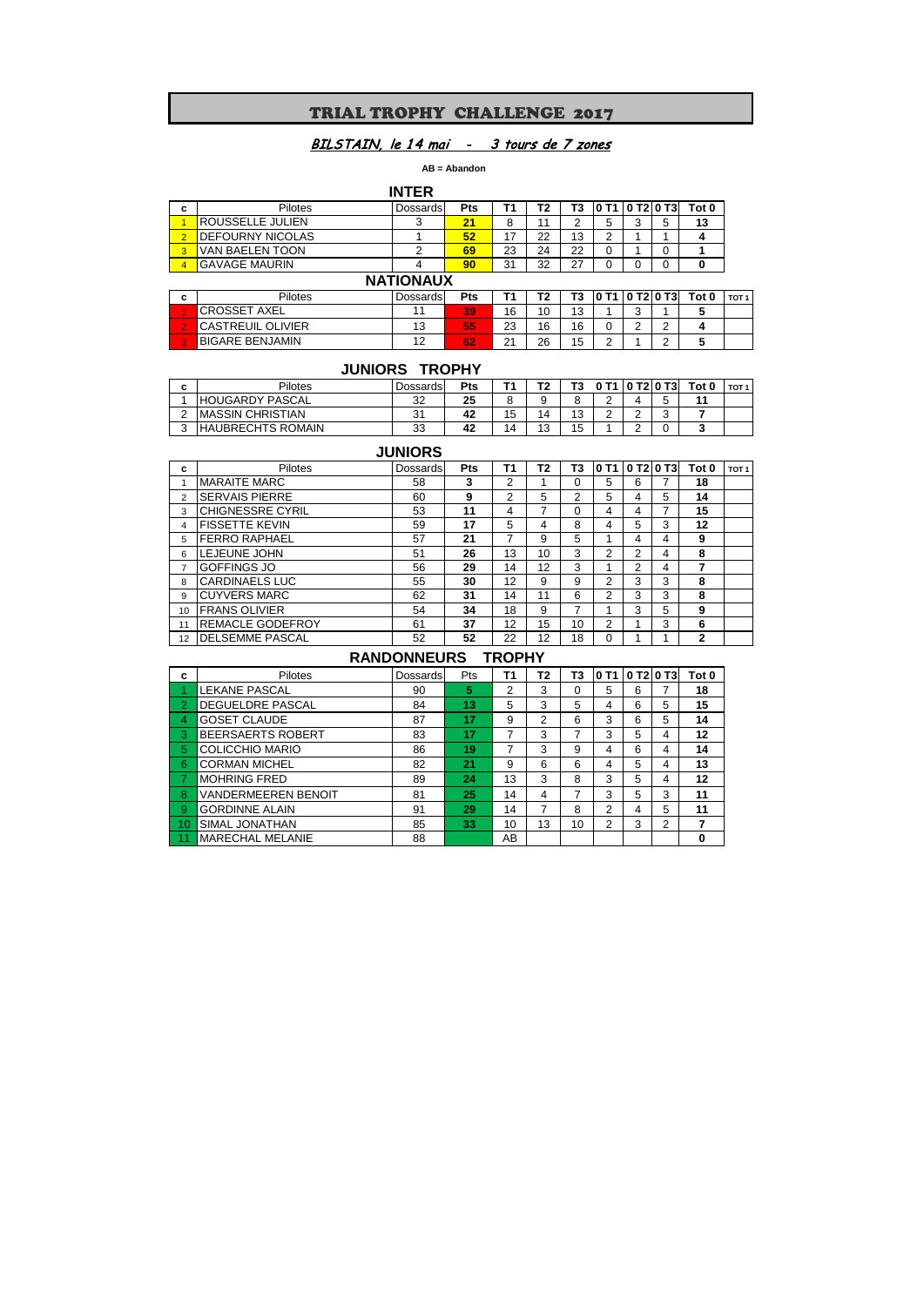# TRIAL TROPHY CHALLENGE 2017

# BILSTAIN, le 14 mai - 3 tours de 7 zones

 **AB = Abandon** 

|                         |                         | <b>INTER</b> |            |    |    |    |   |         |   |       |
|-------------------------|-------------------------|--------------|------------|----|----|----|---|---------|---|-------|
| c                       | <b>Pilotes</b>          | Dossards     | <b>Pts</b> |    | Τ2 | T3 |   | 0T2 0T3 |   | Tot 0 |
|                         | <b>ROUSSELLE JULIEN</b> |              | 21         | 8  | 11 | ົ  | 5 | J       | 5 | 13    |
| $\overline{2}$          | <b>DEFOURNY NICOLAS</b> |              | 52         | 17 | 22 | 13 | ⌒ |         |   |       |
| 3                       | VAN BAELEN TOON         |              | 69         | 23 | 24 | 22 |   |         | 0 |       |
| $\overline{\mathbf{A}}$ | <b>GAVAGE MAURIN</b>    |              | 90         | 31 | 32 | 27 |   |         |   |       |
| <b>NATIONAUX</b>        |                         |              |            |    |    |    |   |         |   |       |

|   |                          | """""""""""" |     |    |    |    |   |                               |       |                  |
|---|--------------------------|--------------|-----|----|----|----|---|-------------------------------|-------|------------------|
| c | Pilotes                  | Dossards     | Pts | т. | Τ2 | T3 |   | T1   0 T2   0 T3              | Tot 0 | TOT <sub>1</sub> |
|   | <b>CROSSET AXEL</b>      |              | 39  | 16 | 10 | 13 |   | $\overline{\phantom{0}}$<br>ັ |       |                  |
|   | <b>CASTREUIL OLIVIER</b> | 13           | 55  | 23 | 16 | 16 |   | <u>.</u>                      |       |                  |
|   | <b>BIGARE BENJAMIN</b>   | 12           | 62  | 21 | 26 | 15 | ∸ |                               |       |                  |

# **JUNIORS TROPHY**

| - | Pilotes                  | Dossards | Pts |           | Τ2 | Г3     |                 | T210 T31 | Tot 0 | TOT : |
|---|--------------------------|----------|-----|-----------|----|--------|-----------------|----------|-------|-------|
|   | <b>HOUGARDY PASCAL</b>   | 32       | 25  |           |    | ິ<br>u | $\sqrt{2}$<br>∸ |          | 44    |       |
|   | <b>IMASSIN CHRISTIAN</b> | 31       | 42  | . .<br>15 | 14 | 13     | ⌒<br>∸          |          |       |       |
|   | <b>HAUBRECHTS ROMAIN</b> | 33       | 42  | 14        | 13 | 15     |                 |          |       |       |

# **JUNIORS**

| c              | Pilotes                 | <b>Dossards</b> | <b>Pts</b> | Τ1 | Т2 | T3             | 10 T1          | 0 T2 0 T3 |   | Tot 0        | TOT <sub>1</sub> |
|----------------|-------------------------|-----------------|------------|----|----|----------------|----------------|-----------|---|--------------|------------------|
|                | <b>MARAITE MARC</b>     | 58              | 3          | 2  |    | 0              | 5              | 6         |   | 18           |                  |
| $\overline{2}$ | <b>SERVAIS PIERRE</b>   | 60              | 9          | 2  | 5  | $\overline{2}$ | 5              | 4         | 5 | 14           |                  |
| 3              | <b>CHIGNESSRE CYRIL</b> | 53              | 11         | 4  | 7  | $\Omega$       | 4              | 4         | 7 | 15           |                  |
| $\overline{4}$ | <b>FISSETTE KEVIN</b>   | 59              | 17         | 5  | 4  | 8              | 4              | 5         | 3 | 12           |                  |
| 5              | <b>FERRO RAPHAEL</b>    | 57              | 21         | 7  | 9  | 5              |                | 4         | 4 | 9            |                  |
| 6              | LEJEUNE JOHN            | 51              | 26         | 13 | 10 | 3              | 2              | 2         | 4 | 8            |                  |
| 7              | <b>GOFFINGS JO</b>      | 56              | 29         | 14 | 12 | 3              |                | 2         | 4 | 7            |                  |
| 8              | <b>CARDINAELS LUC</b>   | 55              | 30         | 12 | 9  | 9              | 2              | 3         | 3 | 8            |                  |
| 9              | <b>CUYVERS MARC</b>     | 62              | 31         | 14 | 11 | 6              | $\overline{2}$ | 3         | 3 | 8            |                  |
| 10             | <b>FRANS OLIVIER</b>    | 54              | 34         | 18 | 9  | 7              |                | 3         | 5 | 9            |                  |
| 11             | <b>REMACLE GODEFROY</b> | 61              | 37         | 12 | 15 | 10             | 2              |           | 3 | 6            |                  |
| 12             | <b>IDELSEMME PASCAL</b> | 52              | 52         | 22 | 12 | 18             | 0              |           |   | $\mathbf{2}$ |                  |

# **RANDONNEURS TROPHY**

| c              | Pilotes                    | Dossards | Pts | Τ1 | T2 | T3 | 10 T1 I |   | 0 T2 0 T3 | Tot 0 |
|----------------|----------------------------|----------|-----|----|----|----|---------|---|-----------|-------|
|                | <b>LEKANE PASCAL</b>       | 90       | 5   | 2  | 3  | O  | 5       | 6 |           | 18    |
| $\overline{2}$ | DEGUELDRE PASCAL           | 84       | 13  | 5  | 3  | 5  |         | 6 | 5         | 15    |
| 4              | <b>GOSET CLAUDE</b>        | 87       | 17  | 9  | 2  | 6  | 3       | 6 | 5         | 14    |
| 3              | BEERSAERTS ROBERT          | 83       | 17  | 7  | 3  |    | 3       | 5 | 4         | 12    |
| 5              | <b>COLICCHIO MARIO</b>     | 86       | 19  | 7  | 3  | 9  | 4       | 6 | 4         | 14    |
| 6              | <b>CORMAN MICHEL</b>       | 82       | 21  | 9  | 6  | 6  | 4       | 5 | 4         | 13    |
|                | <b>MOHRING FRED</b>        | 89       | 24  | 13 | 3  | 8  | 3       | 5 | 4         | 12    |
| 8              | <b>VANDERMEEREN BENOIT</b> | 81       | 25  | 14 | 4  |    | 3       | 5 | 3         | 11    |
| 9              | <b>GORDINNE ALAIN</b>      | 91       | 29  | 14 | 7  | 8  | 2       | 4 | 5         | 11    |
| 10             | SIMAL JONATHAN             | 85       | 33  | 10 | 13 | 10 | າ       | 3 | 2         | 7     |
|                | <b>MARECHAL MELANIE</b>    | 88       |     | AB |    |    |         |   |           | 0     |